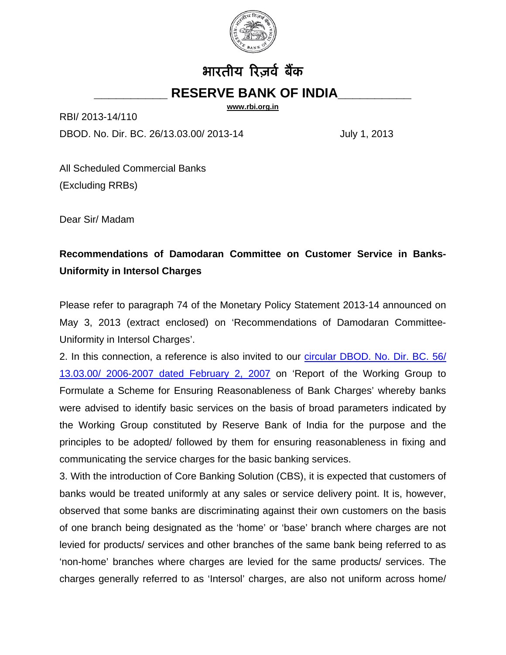

## भारतीय रिज़र्व बैंक **\_\_\_\_\_\_\_\_\_\_ RESERVE BANK OF INDIA\_\_\_\_\_\_\_\_\_\_**

**[www.rbi.org.in](http://www.rbi.org.in/)**

RBI/ 2013-14/110

DBOD. No. Dir. BC. 26/13.03.00/ 2013-14 July 1, 2013

All Scheduled Commercial Banks (Excluding RRBs)

Dear Sir/ Madam

## **Recommendations of Damodaran Committee on Customer Service in Banks-Uniformity in Intersol Charges**

Please refer to paragraph 74 of the Monetary Policy Statement 2013-14 announced on May 3, 2013 (extract enclosed) on 'Recommendations of Damodaran Committee-Uniformity in Intersol Charges'.

2. In this connection, a reference is also invited to our [circular DBOD. No. Dir. BC. 56/](http://rbi.org.in/scripts/NotificationUser.aspx?Id=3268&Mode=0)  [13.03.00/ 2006-2007 dated February 2, 2007](http://rbi.org.in/scripts/NotificationUser.aspx?Id=3268&Mode=0) on 'Report of the Working Group to Formulate a Scheme for Ensuring Reasonableness of Bank Charges' whereby banks were advised to identify basic services on the basis of broad parameters indicated by the Working Group constituted by Reserve Bank of India for the purpose and the principles to be adopted/ followed by them for ensuring reasonableness in fixing and communicating the service charges for the basic banking services.

3. With the introduction of Core Banking Solution (CBS), it is expected that customers of banks would be treated uniformly at any sales or service delivery point. It is, however, observed that some banks are discriminating against their own customers on the basis of one branch being designated as the 'home' or 'base' branch where charges are not levied for products/ services and other branches of the same bank being referred to as 'non-home' branches where charges are levied for the same products/ services. The charges generally referred to as 'Intersol' charges, are also not uniform across home/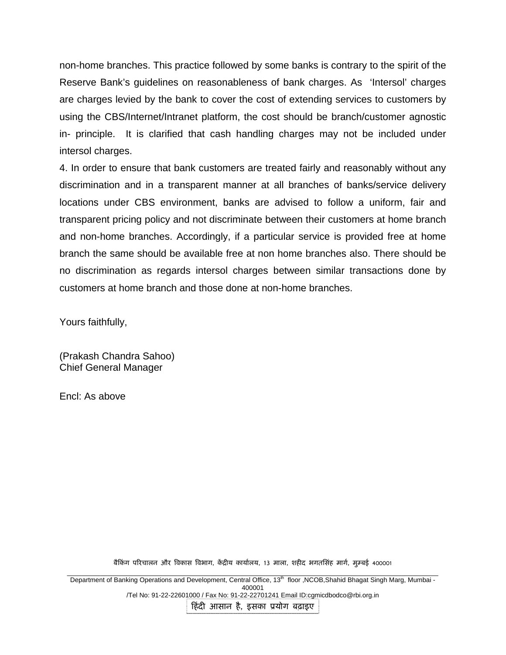non-home branches. This practice followed by some banks is contrary to the spirit of the Reserve Bank's guidelines on reasonableness of bank charges. As 'Intersol' charges are charges levied by the bank to cover the cost of extending services to customers by using the CBS/Internet/Intranet platform, the cost should be branch/customer agnostic in- principle. It is clarified that cash handling charges may not be included under intersol charges.

4. In order to ensure that bank customers are treated fairly and reasonably without any discrimination and in a transparent manner at all branches of banks/service delivery locations under CBS environment, banks are advised to follow a uniform, fair and transparent pricing policy and not discriminate between their customers at home branch and non-home branches. Accordingly, if a particular service is provided free at home branch the same should be available free at non home branches also. There should be no discrimination as regards intersol charges between similar transactions done by customers at home branch and those done at non-home branches.

Yours faithfully,

(Prakash Chandra Sahoo) Chief General Manager

Encl: As above

बैकिंग परिचालन और विकास विभाग, केंद्रीय कार्यालय, 13 माला, शहीद भगतसिंह मार्ग, मुम्बई 400001

\_\_\_\_\_\_\_\_\_\_\_\_\_\_\_\_\_\_\_\_\_\_\_\_\_\_\_\_\_\_\_\_\_\_\_\_\_\_\_\_\_\_\_\_\_\_\_\_\_\_\_\_\_\_\_\_\_\_\_\_\_\_\_\_\_\_\_\_\_\_\_\_\_\_\_\_\_\_\_\_\_\_\_\_\_\_\_\_\_\_\_\_\_\_\_\_\_\_\_\_\_ Department of Banking Operations and Development, Central Office, 13th floor ,NCOB,Shahid Bhagat Singh Marg, Mumbai - 400001 /Tel No: 91-22-22601000 / Fax No: 91-22-22701241 Email ID:cgmicdbodco@rbi.org.in

हिंदी आसान है, इसका प्रयोग बढ़ाइए